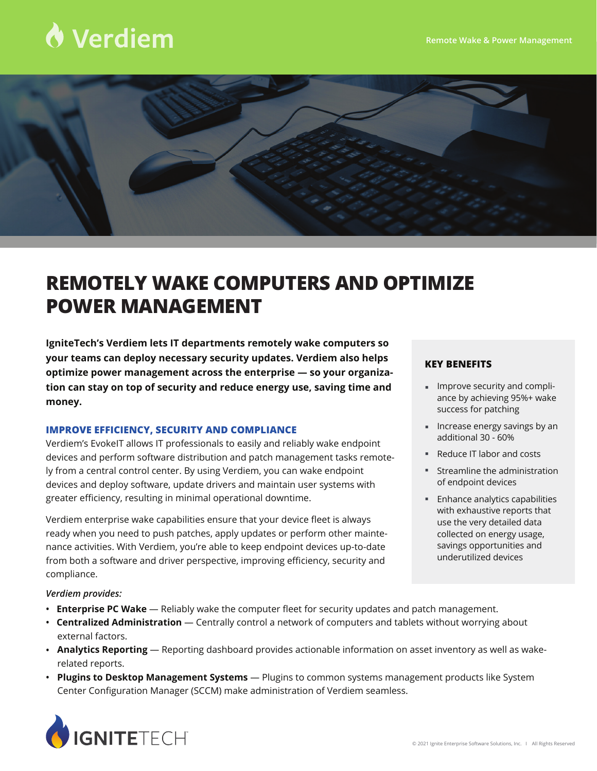# Verdiem



## **REMOTELY WAKE COMPUTERS AND OPTIMIZE POWER MANAGEMENT**

**IgniteTech's Verdiem lets IT departments remotely wake computers so your teams can deploy necessary security updates. Verdiem also helps optimize power management across the enterprise — so your organization can stay on top of security and reduce energy use, saving time and money.**

### **IMPROVE EFFICIENCY, SECURITY AND COMPLIANCE**

Verdiem's EvokeIT allows IT professionals to easily and reliably wake endpoint devices and perform software distribution and patch management tasks remotely from a central control center. By using Verdiem, you can wake endpoint devices and deploy software, update drivers and maintain user systems with greater efficiency, resulting in minimal operational downtime.

Verdiem enterprise wake capabilities ensure that your device fleet is always ready when you need to push patches, apply updates or perform other maintenance activities. With Verdiem, you're able to keep endpoint devices up-to-date from both a software and driver perspective, improving efficiency, security and compliance.

#### **KEY BENEFITS**

- $\blacksquare$  Improve security and compliance by achieving 95%+ wake success for patching
- **Increase energy savings by an** additional 30 - 60%
- **Reduce IT labor and costs**
- Streamline the administration of endpoint devices
- **Enhance analytics capabilities** with exhaustive reports that use the very detailed data collected on energy usage, savings opportunities and underutilized devices

*Verdiem provides:*

- **• Enterprise PC Wake** Reliably wake the computer fleet for security updates and patch management.
- **• Centralized Administration** Centrally control a network of computers and tablets without worrying about external factors.
- **• Analytics Reporting** Reporting dashboard provides actionable information on asset inventory as well as wakerelated reports.
- **• Plugins to Desktop Management Systems** Plugins to common systems management products like System Center Configuration Manager (SCCM) make administration of Verdiem seamless.